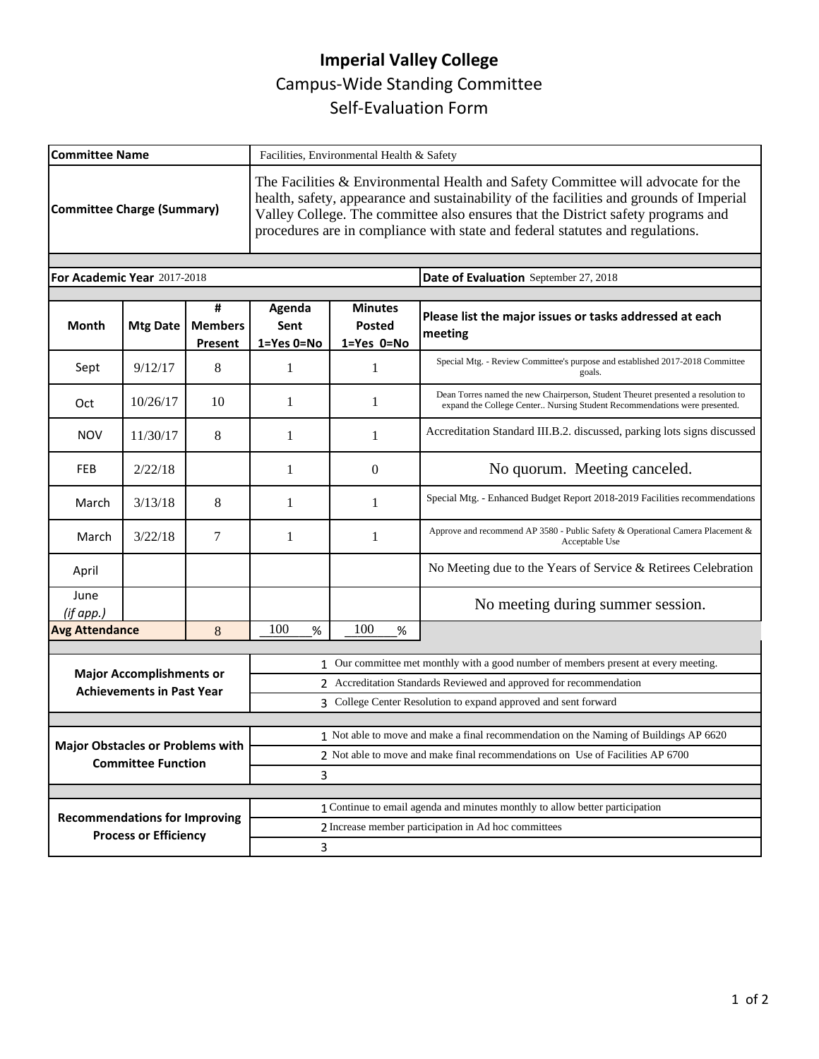## **Imperial Valley College**  Campus-Wide Standing Committee Self-Evaluation Form

| <b>Committee Name</b>                                                |                 |                                | Facilities, Environmental Health & Safety                                                                                                                                                                                                                                                                                                        |                                               |                                                                                                                                                               |
|----------------------------------------------------------------------|-----------------|--------------------------------|--------------------------------------------------------------------------------------------------------------------------------------------------------------------------------------------------------------------------------------------------------------------------------------------------------------------------------------------------|-----------------------------------------------|---------------------------------------------------------------------------------------------------------------------------------------------------------------|
| Committee Charge (Summary)                                           |                 |                                | The Facilities & Environmental Health and Safety Committee will advocate for the<br>health, safety, appearance and sustainability of the facilities and grounds of Imperial<br>Valley College. The committee also ensures that the District safety programs and<br>procedures are in compliance with state and federal statutes and regulations. |                                               |                                                                                                                                                               |
| For Academic Year 2017-2018                                          |                 |                                |                                                                                                                                                                                                                                                                                                                                                  |                                               |                                                                                                                                                               |
|                                                                      |                 |                                |                                                                                                                                                                                                                                                                                                                                                  |                                               | Date of Evaluation September 27, 2018                                                                                                                         |
| <b>Month</b>                                                         | <b>Mtg Date</b> | #<br><b>Members</b><br>Present | Agenda<br>Sent<br>1=Yes 0=No                                                                                                                                                                                                                                                                                                                     | <b>Minutes</b><br><b>Posted</b><br>1=Yes 0=No | Please list the major issues or tasks addressed at each<br>meeting                                                                                            |
| Sept                                                                 | 9/12/17         | 8                              | 1                                                                                                                                                                                                                                                                                                                                                | 1                                             | Special Mtg. - Review Committee's purpose and established 2017-2018 Committee<br>goals.                                                                       |
| Oct                                                                  | 10/26/17        | 10                             | 1                                                                                                                                                                                                                                                                                                                                                | 1                                             | Dean Torres named the new Chairperson, Student Theuret presented a resolution to<br>expand the College Center Nursing Student Recommendations were presented. |
| <b>NOV</b>                                                           | 11/30/17        | 8                              | 1                                                                                                                                                                                                                                                                                                                                                | 1                                             | Accreditation Standard III.B.2. discussed, parking lots signs discussed                                                                                       |
| <b>FEB</b>                                                           | 2/22/18         |                                | 1                                                                                                                                                                                                                                                                                                                                                | $\overline{0}$                                | No quorum. Meeting canceled.                                                                                                                                  |
| March                                                                | 3/13/18         | 8                              | 1                                                                                                                                                                                                                                                                                                                                                | 1                                             | Special Mtg. - Enhanced Budget Report 2018-2019 Facilities recommendations                                                                                    |
| March                                                                | 3/22/18         | 7                              | 1                                                                                                                                                                                                                                                                                                                                                | 1                                             | Approve and recommend AP 3580 - Public Safety & Operational Camera Placement &<br>Acceptable Use                                                              |
| April                                                                |                 |                                |                                                                                                                                                                                                                                                                                                                                                  |                                               | No Meeting due to the Years of Service & Retirees Celebration                                                                                                 |
| June<br>(if app.)                                                    |                 |                                |                                                                                                                                                                                                                                                                                                                                                  |                                               | No meeting during summer session.                                                                                                                             |
| <b>Avg Attendance</b>                                                |                 | 8                              | 100<br>%                                                                                                                                                                                                                                                                                                                                         | 100<br>%                                      |                                                                                                                                                               |
|                                                                      |                 |                                |                                                                                                                                                                                                                                                                                                                                                  |                                               | 1 Our committee met monthly with a good number of members present at every meeting.                                                                           |
| <b>Major Accomplishments or</b><br><b>Achievements in Past Year</b>  |                 |                                | 2 Accreditation Standards Reviewed and approved for recommendation                                                                                                                                                                                                                                                                               |                                               |                                                                                                                                                               |
|                                                                      |                 |                                |                                                                                                                                                                                                                                                                                                                                                  |                                               | 3 College Center Resolution to expand approved and sent forward                                                                                               |
|                                                                      |                 |                                |                                                                                                                                                                                                                                                                                                                                                  |                                               | 1 Not able to move and make a final recommendation on the Naming of Buildings AP 6620                                                                         |
| <b>Major Obstacles or Problems with</b><br><b>Committee Function</b> |                 |                                | 2 Not able to move and make final recommendations on Use of Facilities AP 6700                                                                                                                                                                                                                                                                   |                                               |                                                                                                                                                               |
|                                                                      |                 |                                | 3                                                                                                                                                                                                                                                                                                                                                |                                               |                                                                                                                                                               |
|                                                                      |                 |                                |                                                                                                                                                                                                                                                                                                                                                  |                                               |                                                                                                                                                               |
| <b>Recommendations for Improving</b><br><b>Process or Efficiency</b> |                 |                                | 1 Continue to email agenda and minutes monthly to allow better participation                                                                                                                                                                                                                                                                     |                                               |                                                                                                                                                               |
|                                                                      |                 |                                | 2 Increase member participation in Ad hoc committees                                                                                                                                                                                                                                                                                             |                                               |                                                                                                                                                               |
|                                                                      |                 |                                | 3                                                                                                                                                                                                                                                                                                                                                |                                               |                                                                                                                                                               |